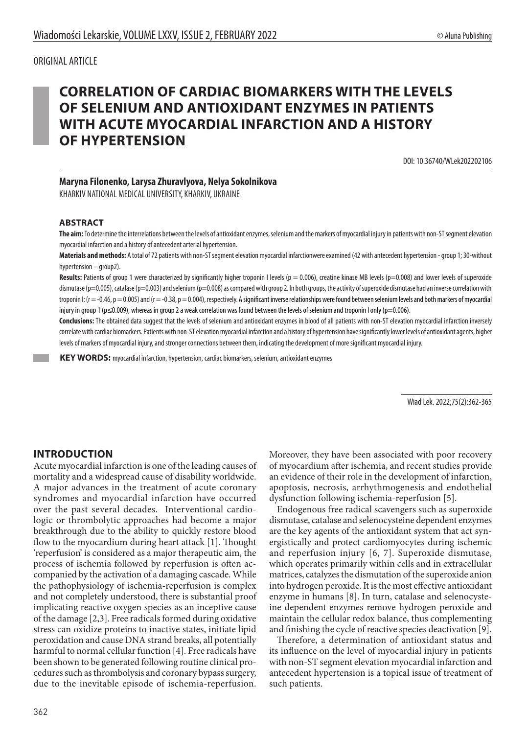# ORIGINAL ARTICLE

# **CORRELATION OF CARDIAC BIOMARKERS WITH THE LEVELS OF SELENIUM AND ANTIOXIDANT ENZYMES IN PATIENTS WITH ACUTE MYOCARDIAL INFARCTION AND A HISTORY OF HYPERTENSION**

DOI: 10.36740/WLek202202106

# **Maryna Filonenko, Larysa Zhuravlyova, Nelya Sokolnikova**

KHARKIV NATIONAL MEDICAL UNIVERSITY, KHARKIV, UKRAINE

#### **ABSTRACT**

**The aim:** To determine the interrelations between the levels of antioxidant enzymes, selenium and the markers of myocardial injury in patients with non-ST segment elevation myocardial infarction and a history of antecedent arterial hypertension.

**Materials and methods:** A total of 72 patients with non-ST segment elevation myocardial infarctionwere examined (42 with antecedent hypertension - group 1; 30-without hypertension – group2).

Results: Patients of group 1 were characterized by significantly higher troponin I levels (p = 0.006), creatine kinase MB levels (p=0.008) and lower levels of superoxide dismutase (p=0.005), catalase (p=0.003) and selenium (p=0.008) as compared with group 2. In both groups, the activity of superoxide dismutase had an inverse correlation with troponin I: ( $r = -0.46$ ,  $p = 0.005$ ) and ( $r = -0.38$ ,  $p = 0.004$ ), respectively. A significant inverse relationships were found between selenium levels and both markers of myocardial injury in group 1 (p≤0.009), whereas in group 2 a weak correlation was found between the levels of selenium and troponin I only (p=0.006).

**Conclusions:** The obtained data suggest that the levels of selenium and antioxidant enzymes in blood of all patients with non-ST elevation myocardial infarction inversely correlate with cardiac biomarkers. Patients with non-ST elevation myocardial infarction and a history of hypertension have significantly lower levels of antioxidant agents, higher levels of markers of myocardial injury, and stronger connections between them, indicating the development of more significant myocardial injury.

 **KEY WORDS:** myocardial infarction, hypertension, cardiac biomarkers, selenium, antioxidant enzymes

Wiad Lek. 2022;75(2):362-365

# **INTRODUCTION**

Acute myocardial infarction is one of the leading causes of mortality and a widespread cause of disability worldwide. A major advances in the treatment of acute coronary syndromes and myocardial infarction have occurred over the past several decades. Interventional cardiologic or thrombolytic approaches had become a major breakthrough due to the ability to quickly restore blood flow to the myocardium during heart attack [1]. Thought 'reperfusion' is considered as a major therapeutic aim, the process of ischemia followed by reperfusion is often accompanied by the activation of a damaging cascade. While the pathophysiology of ischemia-reperfusion is complex and not completely understood, there is substantial proof implicating reactive oxygen species as an inceptive cause of the damage [2,3]. Free radicals formed during oxidative stress can oxidize proteins to inactive states, initiate lipid peroxidation and cause DNA strand breaks, all potentially harmful to normal cellular function [4]. Free radicals have been shown to be generated following routine clinical procedures such as thrombolysis and coronary bypass surgery, due to the inevitable episode of ischemia-reperfusion.

Moreover, they have been associated with poor recovery of myocardium after ischemia, and recent studies provide an evidence of their role in the development of infarction, apoptosis, necrosis, arrhythmogenesis and endothelial dysfunction following ischemia-reperfusion [5].

Endogenous free radical scavengers such as superoxide dismutase, catalase and selenocysteine dependent enzymes are the key agents of the antioxidant system that act synergistically and protect cardiomyocytes during ischemic and reperfusion injury [6, 7]. Superoxide dismutase, which operates primarily within cells and in extracellular matrices, catalyzes the dismutation of the superoxide anion into hydrogen peroxide. It is the most effective antioxidant enzyme in humans [8]. In turn, catalase and selenocysteine dependent enzymes remove hydrogen peroxide and maintain the cellular redox balance, thus complementing and finishing the cycle of reactive species deactivation [9].

Therefore, a determination of antioxidant status and its influence on the level of myocardial injury in patients with non-ST segment elevation myocardial infarction and antecedent hypertension is a topical issue of treatment of such patients.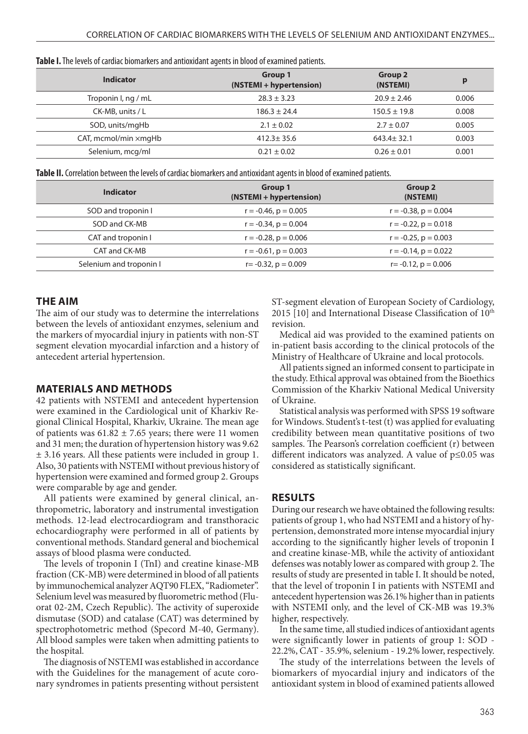| <b>TWATS IS THE ICLED OF CATALOG MIGHTERS AND AND AN ANTIONIA AND THE MOOD OF CAMILING MATERIES.</b> |                                    |                            |       |  |
|------------------------------------------------------------------------------------------------------|------------------------------------|----------------------------|-------|--|
| <b>Indicator</b>                                                                                     | Group 1<br>(NSTEMI + hypertension) | <b>Group 2</b><br>(NSTEMI) | р     |  |
| Troponin I, ng / mL                                                                                  | $28.3 \pm 3.23$                    | $20.9 \pm 2.46$            | 0.006 |  |
| CK-MB, units / L                                                                                     | $186.3 \pm 24.4$                   | $150.5 \pm 19.8$           | 0.008 |  |
| SOD, units/mgHb                                                                                      | $2.1 \pm 0.02$                     | $2.7 \pm 0.07$             | 0.005 |  |
| $CAT,$ mcmol/min $\times$ mgHb                                                                       | $412.3 \pm 35.6$                   | $643.4 \pm 32.1$           | 0.003 |  |
| Selenium, mcg/ml                                                                                     | $0.21 \pm 0.02$                    | $0.26 \pm 0.01$            | 0.001 |  |

| Table I. The levels of cardiac biomarkers and antioxidant agents in blood of examined patients. |
|-------------------------------------------------------------------------------------------------|
|-------------------------------------------------------------------------------------------------|

**Table II.** Correlation between the levels of cardiac biomarkers and antioxidant agents in blood of examined patients.

| <b>Indicator</b>        | <b>Group 1</b><br>(NSTEMI + hypertension) | <b>Group 2</b><br>(NSTEMI) |
|-------------------------|-------------------------------------------|----------------------------|
| SOD and troponin I      | $r = -0.46$ , $p = 0.005$                 | $r = -0.38$ , $p = 0.004$  |
| SOD and CK-MB           | $r = -0.34$ , $p = 0.004$                 | $r = -0.22$ , $p = 0.018$  |
| CAT and troponin I      | $r = -0.28$ , $p = 0.006$                 | $r = -0.25$ , $p = 0.003$  |
| CAT and CK-MB           | $r = -0.61$ , $p = 0.003$                 | $r = -0.14$ , $p = 0.022$  |
| Selenium and troponin I | $r = -0.32$ , $p = 0.009$                 | $r = -0.12$ , $p = 0.006$  |

#### **THE AIM**

The aim of our study was to determine the interrelations between the levels of antioxidant enzymes, selenium and the markers of myocardial injury in patients with non-ST segment elevation myocardial infarction and a history of antecedent arterial hypertension.

# **MATERIALS AND METHODS**

42 patients with NSTEMI and antecedent hypertension were examined in the Cardiological unit of Kharkiv Regional Clinical Hospital, Kharkiv, Ukraine. The mean age of patients was  $61.82 \pm 7.65$  years; there were 11 women and 31 men; the duration of hypertension history was 9.62 ± 3.16 years. All these patients were included in group 1. Also, 30 patients with NSTEMI without previous history of hypertension were examined and formed group 2. Groups were comparable by age and gender.

All patients were examined by general clinical, anthropometric, laboratory and instrumental investigation methods. 12-lead electrocardiogram and transthoracic echocardiography were performed in all of patients by conventional methods. Standard general and biochemical assays of blood plasma were conducted.

The levels of troponin I (TnI) and creatine kinase-MB fraction (CK-MB) were determined in blood of all patients by immunochemical analyzer AQT90 FLEX, "Radiometer". Selenium level was measured by fluorometric method (Fluorat 02-2М, Czech Republic). The activity of superoxide dismutase (SOD) and catalase (CAT) was determined by spectrophotometric method (Specord М-40, Germany). All blood samples were taken when admitting patients to the hospital.

The diagnosis of NSTEMI was established in accordance with the Guidelines for the management of acute coronary syndromes in patients presenting without persistent ST-segment elevation of European Society of Cardiology, 2015 [10] and International Disease Classification of  $10<sup>th</sup>$ revision.

Medical aid was provided to the examined patients on in-patient basis according to the clinical protocols of the Ministry of Healthcare of Ukraine and local protocols.

All patients signed an informed consent to participate in the study. Ethical approval was obtained from the Bioethics Commission of the Kharkiv National Medical University of Ukraine.

Statistical analysis was performed with SPSS 19 software for Windows. Student's t-test (t) was applied for evaluating credibility between mean quantitative positions of two samples. The Pearson's correlation coefficient (r) between different indicators was analyzed. A value of p≤0.05 was considered as statistically significant.

# **RESULTS**

During our research we have obtained the following results: patients of group 1, who had NSTEMI and a history of hypertension, demonstrated more intense myocardial injury according to the significantly higher levels of troponin I and creatine kinase-MB, while the activity of antioxidant defenses was notably lower as compared with group 2. The results of study are presented in table I. It should be noted, that the level of troponin I in patients with NSTEMI and antecedent hypertension was 26.1% higher than in patients with NSTEMI only, and the level of CK-MB was 19.3% higher, respectively.

In the same time, all studied indices of antioxidant agents were significantly lower in patients of group 1: SOD - 22.2%, CAT - 35.9%, selenium - 19.2% lower, respectively.

The study of the interrelations between the levels of biomarkers of myocardial injury and indicators of the antioxidant system in blood of examined patients allowed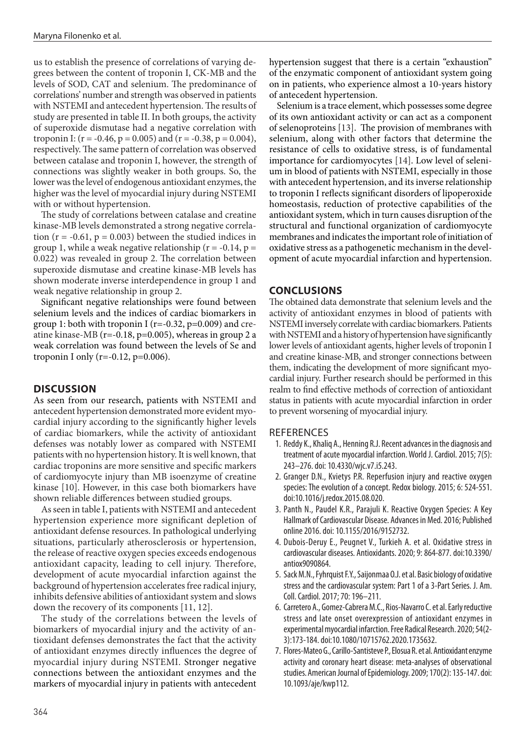us to establish the presence of correlations of varying degrees between the content of troponin I, CK-MB and the levels of SOD, CAT and selenium. The predominance of correlations' number and strength was observed in patients with NSTEMI and antecedent hypertension. The results of study are presented in table II. In both groups, the activity of superoxide dismutase had a negative correlation with troponin I: ( $r = -0.46$ ,  $p = 0.005$ ) and ( $r = -0.38$ ,  $p = 0.004$ ), respectively. The same pattern of correlation was observed between catalase and troponin I, however, the strength of connections was slightly weaker in both groups. So, the lower was the level of endogenous antioxidant enzymes, the higher was the level of myocardial injury during NSTEMI with or without hypertension.

The study of correlations between catalase and creatine kinase-MB levels demonstrated a strong negative correlation ( $r = -0.61$ ,  $p = 0.003$ ) between the studied indices in group 1, while a weak negative relationship ( $r = -0.14$ ,  $p =$ 0.022) was revealed in group 2. The correlation between superoxide dismutase and creatine kinase-MB levels has shown moderate inverse interdependence in group 1 and weak negative relationship in group 2.

Significant negative relationships were found between selenium levels and the indices of cardiac biomarkers in group 1: both with troponin I ( $r=-0.32$ ,  $p=0.009$ ) and creatine kinase-MB ( $r = -0.18$ ,  $p = 0.005$ ), whereas in group 2 a weak correlation was found between the levels of Se and troponin I only ( $r=-0.12$ ,  $p=0.006$ ).

# **DISCUSSION**

As seen from our research, patients with NSTEMI and antecedent hypertension demonstrated more evident myocardial injury according to the significantly higher levels of cardiac biomarkers, while the activity of antioxidant defenses was notably lower as compared with NSTEMI patients with no hypertension history. It is well known, that cardiac troponins are more sensitive and specific markers of cardiomyocyte injury than MB isoenzyme of creatine kinase [10]. However, in this case both biomarkers have shown reliable differences between studied groups.

As seen in table I, patients with NSTEMI and antecedent hypertension experience more significant depletion of antioxidant defense resources. In pathological underlying situations, particularly atherosclerosis or hypertension, the release of reactive oxygen species exceeds endogenous antioxidant capacity, leading to cell injury. Therefore, development of acute myocardial infarction against the background of hypertension accelerates free radical injury, inhibits defensive abilities of antioxidant system and slows down the recovery of its components [11, 12].

The study of the correlations between the levels of biomarkers of myocardial injury and the activity of antioxidant defenses demonstrates the fact that the activity of antioxidant enzymes directly influences the degree of myocardial injury during NSTEMI. Stronger negative connections between the antioxidant enzymes and the markers of myocardial injury in patients with antecedent

hypertension suggest that there is a certain "exhaustion" of the enzymatic component of antioxidant system going on in patients, who experience almost a 10-years history of antecedent hypertension.

Selenium is a trace element, which possesses some degree of its own antioxidant activity or can act as a component of selenoproteins [13]. The provision of membranes with selenium, along with other factors that determine the resistance of cells to oxidative stress, is of fundamental importance for cardiomyocytes [14]. Low level of selenium in blood of patients with NSTEMI, especially in those with antecedent hypertension, and its inverse relationship to troponin I reflects significant disorders of lipoperoxide homeostasis, reduction of protective capabilities of the antioxidant system, which in turn causes disruption of the structural and functional organization of cardiomyocyte membranes and indicates the important role of initiation of oxidative stress as a pathogenetic mechanism in the development of acute myocardial infarction and hypertension.

# **CONCLUSIONS**

The obtained data demonstrate that selenium levels and the activity of antioxidant enzymes in blood of patients with NSTEMI inversely correlate with cardiac biomarkers. Patients with NSTEMI and a history of hypertension have significantly lower levels of antioxidant agents, higher levels of troponin I and creatine kinase-MB, and stronger connections between them, indicating the development of more significant myocardial injury. Further research should be performed in this realm to find effective methods of correction of antioxidant status in patients with acute myocardial infarction in order to prevent worsening of myocardial injury.

#### REFERENCES

- 1. Reddy K., Khaliq A., Henning R.J. Recent advances in the diagnosis and treatment of acute myocardial infarction. World J. Cardiol. 2015; 7(5): 243–276. doi: 10.4330/wjc.v7.i5.243.
- 2. Granger D.N., Kvietys P.R. Reperfusion injury and reactive oxygen species: The evolution of a concept. Redox biology. 2015; 6: 524-551. doi:10.1016/j.redox.2015.08.020.
- 3. Panth N., Paudel K.R., Parajuli K. Reactive Oxygen Species: A Key Hallmark of Cardiovascular Disease. Advances in Med. 2016; Published online 2016. doi: 10.1155/2016/9152732.
- 4. Dubois-Deruy E., Peugnet V., Turkieh A. et al. Oxidative stress in cardiovascular diseases. Antioxidants. 2020; 9: 864-877. doi:10.3390/ antiox9090864.
- 5. Sack M.N., Fyhrquist F.Y., Saijonmaa O.J. et al. Basic biology of oxidative stress and the cardiovascular system: Part 1 of a 3-Part Series. J. Am. Coll. Cardiol. 2017; 70: 196–211.
- 6. Carretero A., Gomez-Cabrera M.C., Rios-Navarro C. et al. Early reductive stress and late onset overexpression of antioxidant enzymes in experimental myocardial infarction. Free Radical Research. 2020; 54(2- 3):173-184. doi:10.1080/10715762.2020.1735632.
- 7. Flores-Mateo G., Carillo-Santisteve P., Elosua R. et al. Antioxidant enzyme activity and coronary heart disease: meta-analyses of observational studies. American Journal of Epidemiology. 2009; 170(2): 135-147. doi: 10.1093/aje/kwp112.